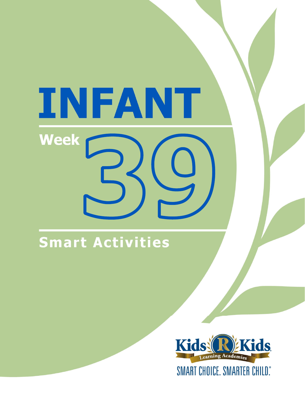# INFANT **Week**

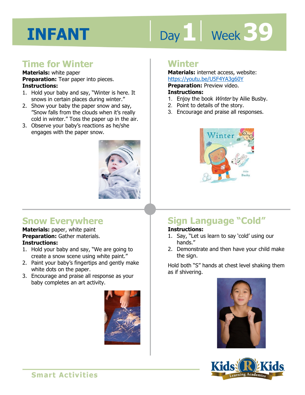# Day 1 Week 39

#### **Time for Winter**

#### **Materials:** white paper **Preparation:** Tear paper into pieces. **Instructions:**

- 1. Hold your baby and say, "Winter is here. It snows in certain places during winter."
- 2. Show your baby the paper snow and say, "Snow falls from the clouds when it's really cold in winter." Toss the paper up in the air.
- 3. Observe your baby's reactions as he/she engages with the paper snow.



#### **Snow Everywhere**

**Materials:** paper, white paint **Preparation:** Gather materials. **Instructions:** 

- 1. Hold your baby and say, "We are going to create a snow scene using white paint."
- 2. Paint your baby's fingertips and gently make white dots on the paper.
- 3. Encourage and praise all response as your baby completes an art activity.



#### **Winter**

**Materials:** internet access, website: https://youtu.be/U5F4YA3g60Y

**Preparation:** Preview video.

#### **Instructions:**

- 1. Enjoy the book Winter by Ailie Busby.
- 2. Point to details of the story.
- 3. Encourage and praise all responses.



### **Sign Language "Cold"**

#### **Instructions:**

- 1. Say, "Let us learn to say 'cold' using our hands."
- 2. Demonstrate and then have your child make the sign.

Hold both "S" hands at chest level shaking them as if shivering.



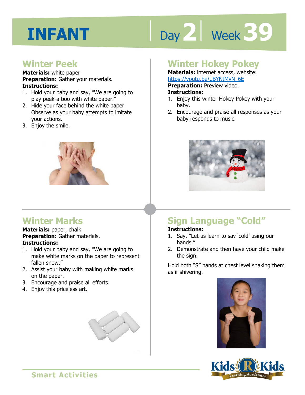# Day 2 **Week** 39

#### **Winter Peek**

#### **Materials:** white paper

**Preparation:** Gather your materials. **Instructions:** 

- 1. Hold your baby and say, "We are going to play peek-a boo with white paper."
- 2. Hide your face behind the white paper. Observe as your baby attempts to imitate your actions.
- 3. Enjoy the smile.



#### **Winter Marks**

**Materials:** paper, chalk **Preparation:** Gather materials. **Instructions:** 

- 1. Hold your baby and say, "We are going to make white marks on the paper to represent fallen snow."
- 2. Assist your baby with making white marks on the paper.
- 3. Encourage and praise all efforts.
- 4. Enjoy this priceless art.



#### **Winter Hokey Pokey**

**Materials:** internet access, website: https://youtu.be/uBYNtMyN\_6E

**Preparation:** Preview video.

#### **Instructions:**

- **1 4**  1. Enjoy this winter Hokey Pokey with your baby.
- 2. Encourage and praise all responses as your baby responds to music.



### **Sign Language "Cold"**

#### **Instructions:**

- 1. Say, "Let us learn to say 'cold' using our hands."
- 2. Demonstrate and then have your child make the sign.

Hold both "S" hands at chest level shaking them as if shivering.



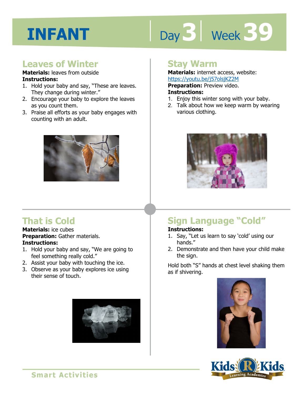# Day 3 | Week 39

#### **Leaves of Winter**

#### **Materials:** leaves from outside **Instructions:**

- 1. Hold your baby and say, "These are leaves. They change during winter."
- 2. Encourage your baby to explore the leaves as you count them.
- 3. Praise all efforts as your baby engages with counting with an adult.



#### **That is Cold**

**Materials:** ice cubes **Preparation:** Gather materials. **Instructions:** 

- 1. Hold your baby and say, "We are going to feel something really cold."
- 2. Assist your baby with touching the ice.
- 3. Observe as your baby explores ice using their sense of touch.



#### **Stay Warm**

#### **Materials:** internet access, website: https://youtu.be/j57olsjKZ2M

**Preparation:** Preview video.

#### **Instructions:**

- <u>Https.//youtd.be/jp/olsjik22Https.//youtd.be/jp/olsjik22Http://with/Preparation: Preview video.<br>**Instructions:**<br>1. Enjoy this winter song with your baby.</u>
- 2. Talk about how we keep warm by wearing various clothing.



### **Sign Language "Cold"**

#### **Instructions:**

- 1. Say, "Let us learn to say 'cold' using our hands."
- 2. Demonstrate and then have your child make the sign.

Hold both "S" hands at chest level shaking them as if shivering.



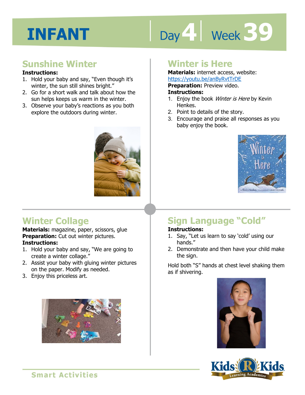# Day 4 **Week 39**

#### **Sunshine Winter**

#### **Instructions:**

- 1. Hold your baby and say, "Even though it's winter, the sun still shines bright."
- 2. Go for a short walk and talk about how the sun helps keeps us warm in the winter.
- 3. Observe your baby's reactions as you both explore the outdoors during winter.



#### **Winter Collage**

**Materials:** magazine, paper, scissors, glue **Preparation:** Cut out winter pictures. **Instructions:** 

- 1. Hold your baby and say, "We are going to create a winter collage."
- 2. Assist your baby with gluing winter pictures on the paper. Modify as needed.
- 3. Enjoy this priceless art.



#### **Winter is Here**

**Materials:** internet access, website: https://youtu.be/anByRvtTrDE

**Preparation:** Preview video.

#### **Instructions:**

- **IRCPS.//yoddl.be/anDyKVCTDL<br><b>Preparation:** Preview video.<br>**Instructions:**<br>1. Enjoy the book *Winter is Here* by Kevin Henkes.
- 2. Point to details of the story.
- 3. Encourage and praise all responses as you baby enjoy the book.



### **Sign Language "Cold"**

#### **Instructions:**

- 1. Say, "Let us learn to say 'cold' using our hands."
- 2. Demonstrate and then have your child make the sign.

Hold both "S" hands at chest level shaking them as if shivering.